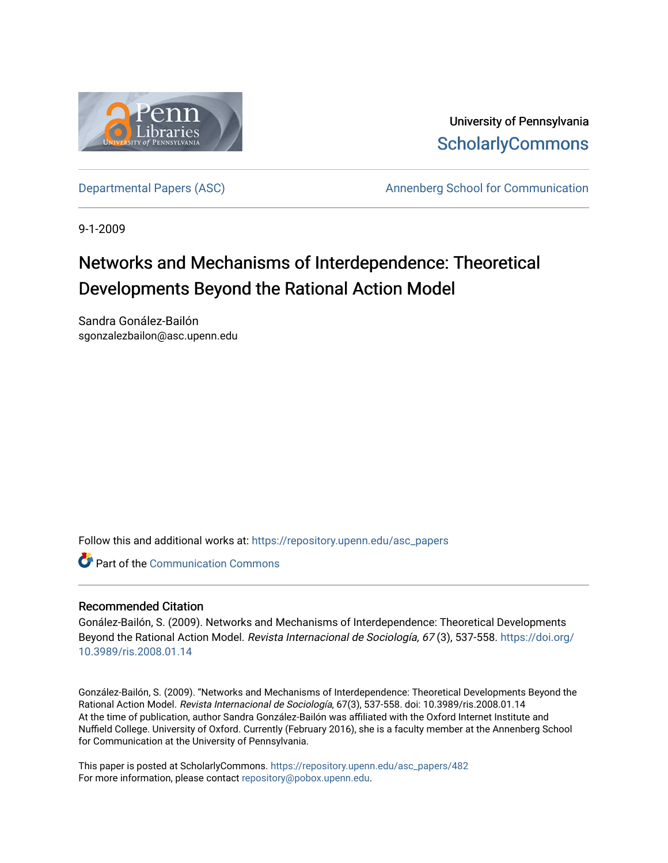

University of Pennsylvania **ScholarlyCommons** 

[Departmental Papers \(ASC\)](https://repository.upenn.edu/asc_papers) The Communication Communication Annenberg School for Communication

9-1-2009

# Networks and Mechanisms of Interdependence: Theoretical Developments Beyond the Rational Action Model

Sandra Gonález-Bailón sgonzalezbailon@asc.upenn.edu

Follow this and additional works at: [https://repository.upenn.edu/asc\\_papers](https://repository.upenn.edu/asc_papers?utm_source=repository.upenn.edu%2Fasc_papers%2F482&utm_medium=PDF&utm_campaign=PDFCoverPages)

**C** Part of the Communication Commons

### Recommended Citation

Gonález-Bailón, S. (2009). Networks and Mechanisms of Interdependence: Theoretical Developments Beyond the Rational Action Model. Revista Internacional de Sociología, 67(3), 537-558. [https://doi.org/](https://doi.org/10.3989/ris.2008.01.14) [10.3989/ris.2008.01.14](https://doi.org/10.3989/ris.2008.01.14)

González-Bailón, S. (2009). "Networks and Mechanisms of Interdependence: Theoretical Developments Beyond the Rational Action Model. Revista Internacional de Sociología, 67(3), 537-558. doi: 10.3989/ris.2008.01.14 At the time of publication, author Sandra González-Bailón was affiliated with the Oxford Internet Institute and Nuffield College. University of Oxford. Currently (February 2016), she is a faculty member at the Annenberg School for Communication at the University of Pennsylvania.

This paper is posted at ScholarlyCommons. [https://repository.upenn.edu/asc\\_papers/482](https://repository.upenn.edu/asc_papers/482)  For more information, please contact [repository@pobox.upenn.edu.](mailto:repository@pobox.upenn.edu)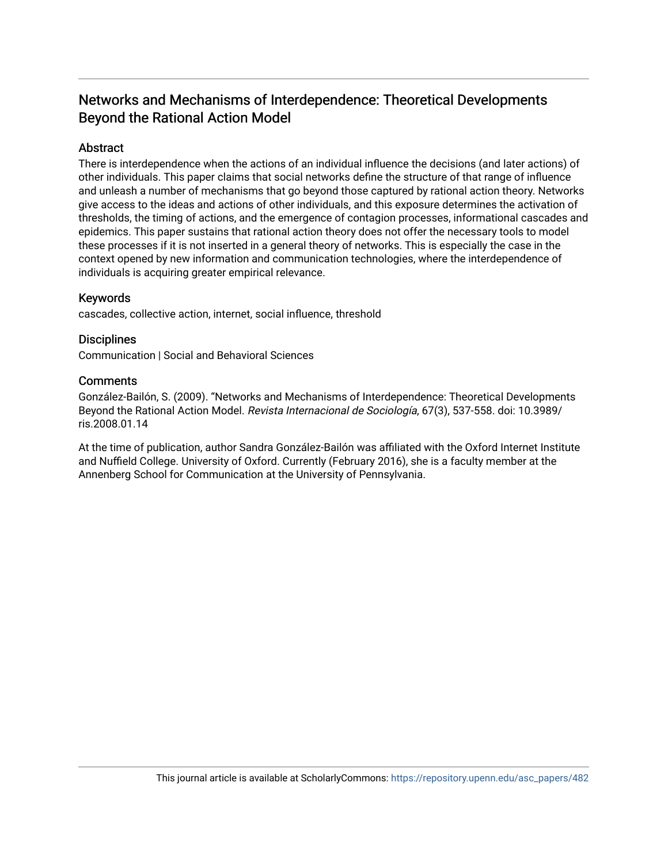# Networks and Mechanisms of Interdependence: Theoretical Developments Beyond the Rational Action Model

# **Abstract**

There is interdependence when the actions of an individual influence the decisions (and later actions) of other individuals. This paper claims that social networks define the structure of that range of influence and unleash a number of mechanisms that go beyond those captured by rational action theory. Networks give access to the ideas and actions of other individuals, and this exposure determines the activation of thresholds, the timing of actions, and the emergence of contagion processes, informational cascades and epidemics. This paper sustains that rational action theory does not offer the necessary tools to model these processes if it is not inserted in a general theory of networks. This is especially the case in the context opened by new information and communication technologies, where the interdependence of individuals is acquiring greater empirical relevance.

# Keywords

cascades, collective action, internet, social influence, threshold

## **Disciplines**

Communication | Social and Behavioral Sciences

### **Comments**

González-Bailón, S. (2009). "Networks and Mechanisms of Interdependence: Theoretical Developments Beyond the Rational Action Model. Revista Internacional de Sociología, 67(3), 537-558. doi: 10.3989/ ris.2008.01.14

At the time of publication, author Sandra González-Bailón was affiliated with the Oxford Internet Institute and Nuffield College. University of Oxford. Currently (February 2016), she is a faculty member at the Annenberg School for Communication at the University of Pennsylvania.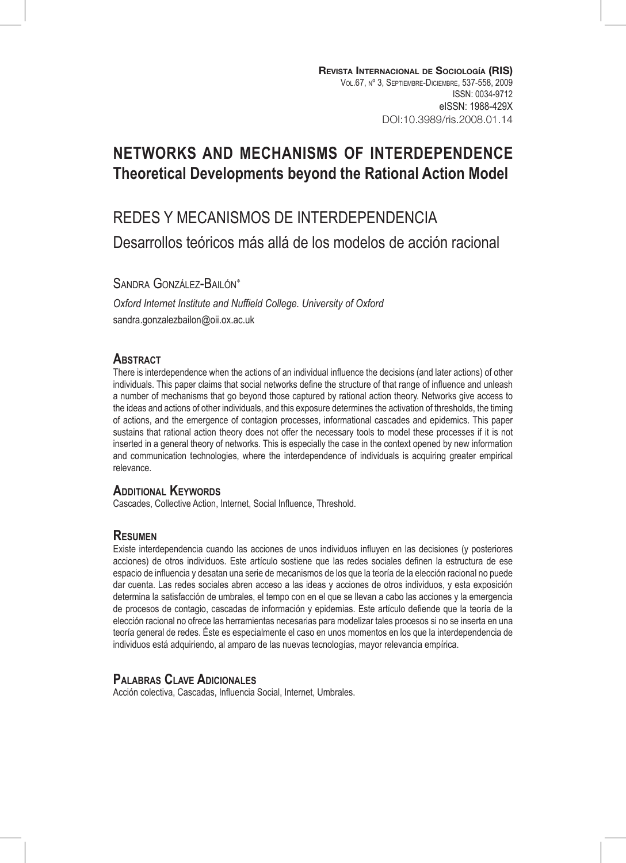# **NETWORKS AND MECHANISMS OF INTERDEPENDENCE Theoretical Developments beyond the Rational Action Model**

# REDES Y MECANISMOS DE INTERDEPENDENCIA Desarrollos teóricos más allá de los modelos de acción racional

SANDRA GONZÁLEZ-BAILÓN<sup>\*</sup>

*Oxford Internet Institute and Nuffield College. University of Oxford* sandra.gonzalezbailon@oii.ox.ac.uk

#### **ABSTRACT**

There is interdependence when the actions of an individual influence the decisions (and later actions) of other individuals. This paper claims that social networks define the structure of that range of influence and unleash a number of mechanisms that go beyond those captured by rational action theory. Networks give access to the ideas and actions of other individuals, and this exposure determines the activation of thresholds, the timing of actions, and the emergence of contagion processes, informational cascades and epidemics. This paper sustains that rational action theory does not offer the necessary tools to model these processes if it is not inserted in a general theory of networks. This is especially the case in the context opened by new information and communication technologies, where the interdependence of individuals is acquiring greater empirical relevance.

#### **ADDITIONAL KEYWORDS**

Cascades, Collective Action, Internet, Social Influence, Threshold.

#### **Resumen**

Existe interdependencia cuando las acciones de unos individuos influyen en las decisiones (y posteriores acciones) de otros individuos. Este artículo sostiene que las redes sociales definen la estructura de ese espacio de influencia y desatan una serie de mecanismos de los que la teoría de la elección racional no puede dar cuenta. Las redes sociales abren acceso a las ideas y acciones de otros individuos, y esta exposición determina la satisfacción de umbrales, el tempo con en el que se llevan a cabo las acciones y la emergencia de procesos de contagio, cascadas de información y epidemias. Este artículo defiende que la teoría de la elección racional no ofrece las herramientas necesarias para modelizar tales procesos si no se inserta en una teoría general de redes. Éste es especialmente el caso en unos momentos en los que la interdependencia de individuos está adquiriendo, al amparo de las nuevas tecnologías, mayor relevancia empírica.

### **Palabras Clave Adicionales**

Acción colectiva, Cascadas, Influencia Social, Internet, Umbrales.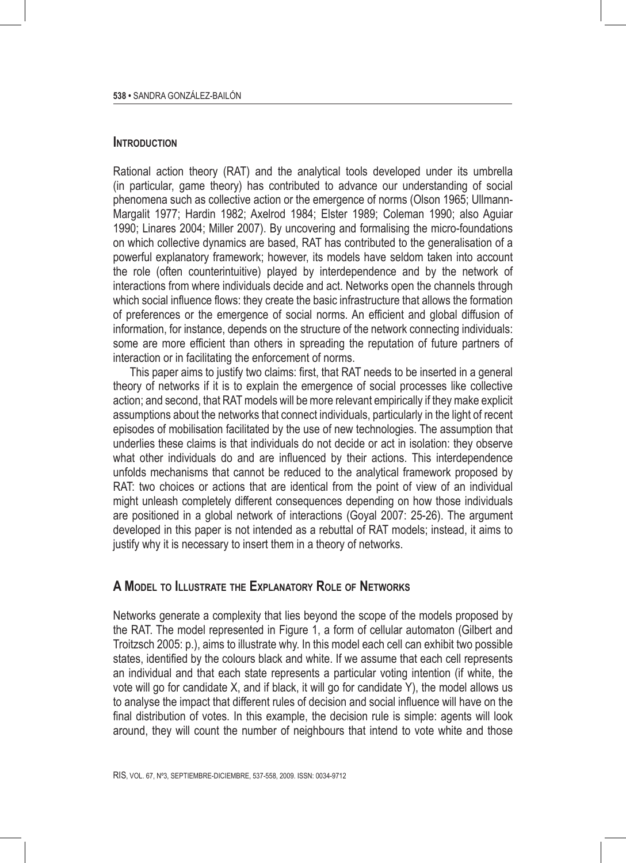#### **Introduction**

Rational action theory (RAT) and the analytical tools developed under its umbrella (in particular, game theory) has contributed to advance our understanding of social phenomena such as collective action or the emergence of norms (Olson 1965; Ullmann-Margalit 1977; Hardin 1982; Axelrod 1984; Elster 1989; Coleman 1990; also Aguiar 1990; Linares 2004; Miller 2007). By uncovering and formalising the micro-foundations on which collective dynamics are based, RAT has contributed to the generalisation of a powerful explanatory framework; however, its models have seldom taken into account the role (often counterintuitive) played by interdependence and by the network of interactions from where individuals decide and act. Networks open the channels through which social influence flows: they create the basic infrastructure that allows the formation of preferences or the emergence of social norms. An efficient and global diffusion of information, for instance, depends on the structure of the network connecting individuals: some are more efficient than others in spreading the reputation of future partners of interaction or in facilitating the enforcement of norms.

This paper aims to justify two claims: first, that RAT needs to be inserted in a general theory of networks if it is to explain the emergence of social processes like collective action; and second, that RAT models will be more relevant empirically if they make explicit assumptions about the networks that connect individuals, particularly in the light of recent episodes of mobilisation facilitated by the use of new technologies. The assumption that underlies these claims is that individuals do not decide or act in isolation: they observe what other individuals do and are influenced by their actions. This interdependence unfolds mechanisms that cannot be reduced to the analytical framework proposed by RAT: two choices or actions that are identical from the point of view of an individual might unleash completely different consequences depending on how those individuals are positioned in a global network of interactions (Goyal 2007: 25-26). The argument developed in this paper is not intended as a rebuttal of RAT models; instead, it aims to justify why it is necessary to insert them in a theory of networks.

#### **A Model to Illustrate the Explanatory Role of Networks**

Networks generate a complexity that lies beyond the scope of the models proposed by the RAT. The model represented in Figure 1, a form of cellular automaton (Gilbert and Troitzsch 2005: p.), aims to illustrate why. In this model each cell can exhibit two possible states, identified by the colours black and white. If we assume that each cell represents an individual and that each state represents a particular voting intention (if white, the vote will go for candidate X, and if black, it will go for candidate Y), the model allows us to analyse the impact that different rules of decision and social influence will have on the final distribution of votes. In this example, the decision rule is simple: agents will look around, they will count the number of neighbours that intend to vote white and those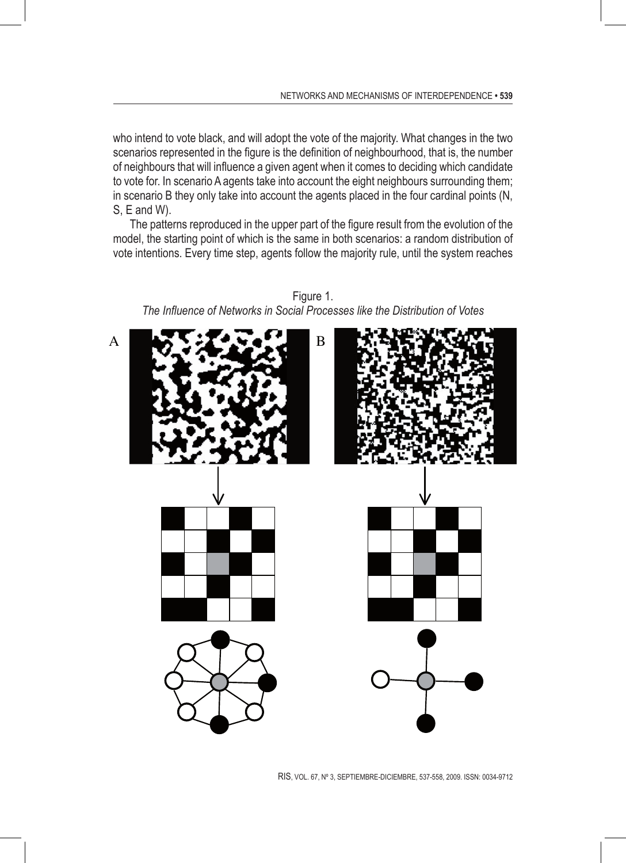who intend to vote black, and will adopt the vote of the majority. What changes in the two scenarios represented in the figure is the definition of neighbourhood, that is, the number of neighbours that will influence a given agent when it comes to deciding which candidate to vote for. In scenario A agents take into account the eight neighbours surrounding them; in scenario B they only take into account the agents placed in the four cardinal points (N, S, E and W).

The patterns reproduced in the upper part of the figure result from the evolution of the model, the starting point of which is the same in both scenarios: a random distribution of vote intentions. Every time step, agents follow the majority rule, until the system reaches



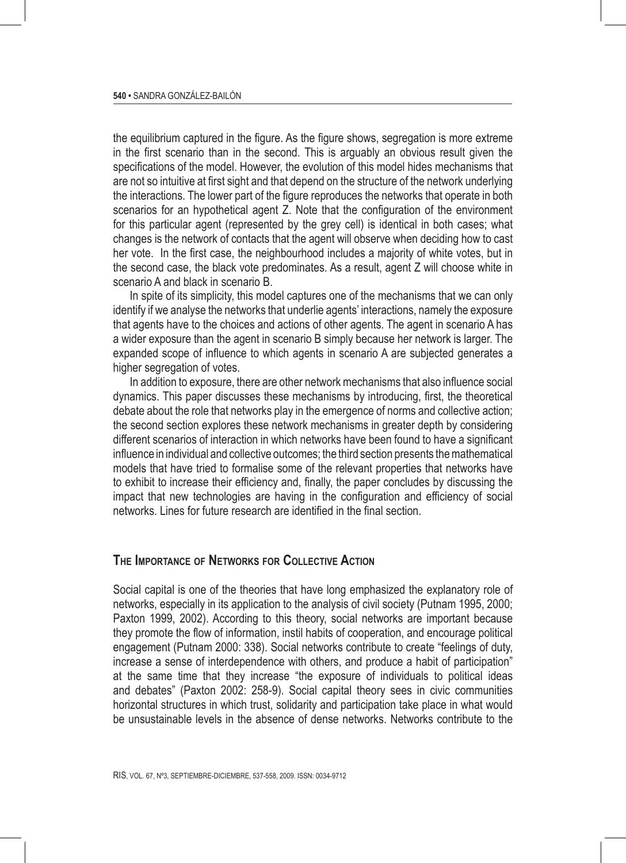the equilibrium captured in the figure. As the figure shows, segregation is more extreme in the first scenario than in the second. This is arguably an obvious result given the specifications of the model. However, the evolution of this model hides mechanisms that are not so intuitive at first sight and that depend on the structure of the network underlying the interactions. The lower part of the figure reproduces the networks that operate in both scenarios for an hypothetical agent Z. Note that the configuration of the environment for this particular agent (represented by the grey cell) is identical in both cases; what changes is the network of contacts that the agent will observe when deciding how to cast her vote. In the first case, the neighbourhood includes a majority of white votes, but in the second case, the black vote predominates. As a result, agent Z will choose white in scenario A and black in scenario B.

In spite of its simplicity, this model captures one of the mechanisms that we can only identify if we analyse the networks that underlie agents' interactions, namely the exposure that agents have to the choices and actions of other agents. The agent in scenario A has a wider exposure than the agent in scenario B simply because her network is larger. The expanded scope of influence to which agents in scenario A are subjected generates a higher segregation of votes.

In addition to exposure, there are other network mechanisms that also influence social dynamics. This paper discusses these mechanisms by introducing, first, the theoretical debate about the role that networks play in the emergence of norms and collective action; the second section explores these network mechanisms in greater depth by considering different scenarios of interaction in which networks have been found to have a significant influence in individual and collective outcomes; the third section presents the mathematical models that have tried to formalise some of the relevant properties that networks have to exhibit to increase their efficiency and, finally, the paper concludes by discussing the impact that new technologies are having in the configuration and efficiency of social networks. Lines for future research are identified in the final section.

#### **The Importance of Networks for Collective Action**

Social capital is one of the theories that have long emphasized the explanatory role of networks, especially in its application to the analysis of civil society (Putnam 1995, 2000; Paxton 1999, 2002). According to this theory, social networks are important because they promote the flow of information, instil habits of cooperation, and encourage political engagement (Putnam 2000: 338). Social networks contribute to create "feelings of duty, increase a sense of interdependence with others, and produce a habit of participation" at the same time that they increase "the exposure of individuals to political ideas and debates" (Paxton 2002: 258-9). Social capital theory sees in civic communities horizontal structures in which trust, solidarity and participation take place in what would be unsustainable levels in the absence of dense networks. Networks contribute to the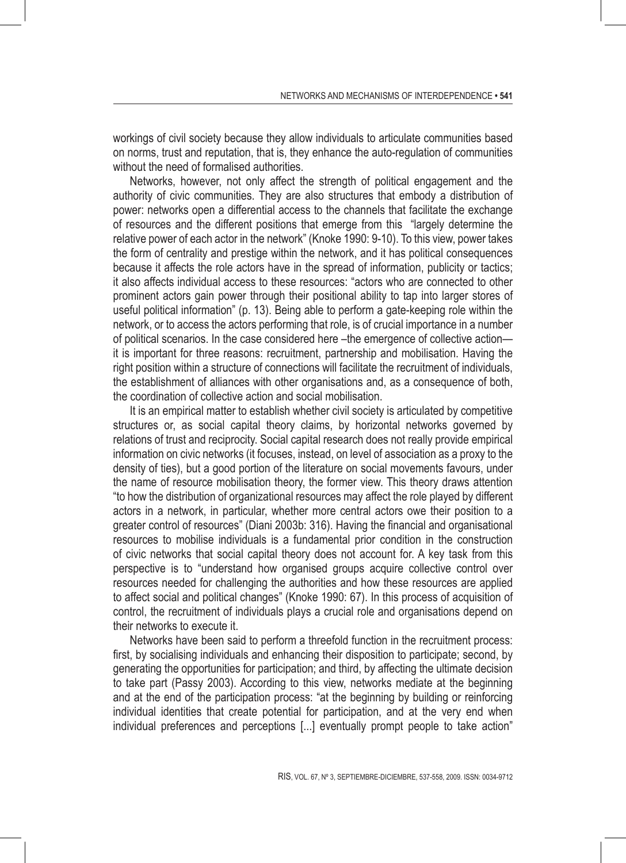workings of civil society because they allow individuals to articulate communities based on norms, trust and reputation, that is, they enhance the auto-regulation of communities without the need of formalised authorities.

Networks, however, not only affect the strength of political engagement and the authority of civic communities. They are also structures that embody a distribution of power: networks open a differential access to the channels that facilitate the exchange of resources and the different positions that emerge from this "largely determine the relative power of each actor in the network" (Knoke 1990: 9-10). To this view, power takes the form of centrality and prestige within the network, and it has political consequences because it affects the role actors have in the spread of information, publicity or tactics; it also affects individual access to these resources: "actors who are connected to other prominent actors gain power through their positional ability to tap into larger stores of useful political information" (p. 13). Being able to perform a gate-keeping role within the network, or to access the actors performing that role, is of crucial importance in a number of political scenarios. In the case considered here –the emergence of collective action it is important for three reasons: recruitment, partnership and mobilisation. Having the right position within a structure of connections will facilitate the recruitment of individuals, the establishment of alliances with other organisations and, as a consequence of both, the coordination of collective action and social mobilisation.

It is an empirical matter to establish whether civil society is articulated by competitive structures or, as social capital theory claims, by horizontal networks governed by relations of trust and reciprocity. Social capital research does not really provide empirical information on civic networks (it focuses, instead, on level of association as a proxy to the density of ties), but a good portion of the literature on social movements favours, under the name of resource mobilisation theory, the former view. This theory draws attention "to how the distribution of organizational resources may affect the role played by different actors in a network, in particular, whether more central actors owe their position to a greater control of resources" (Diani 2003b: 316). Having the financial and organisational resources to mobilise individuals is a fundamental prior condition in the construction of civic networks that social capital theory does not account for. A key task from this perspective is to "understand how organised groups acquire collective control over resources needed for challenging the authorities and how these resources are applied to affect social and political changes" (Knoke 1990: 67). In this process of acquisition of control, the recruitment of individuals plays a crucial role and organisations depend on their networks to execute it.

Networks have been said to perform a threefold function in the recruitment process: first, by socialising individuals and enhancing their disposition to participate; second, by generating the opportunities for participation; and third, by affecting the ultimate decision to take part (Passy 2003). According to this view, networks mediate at the beginning and at the end of the participation process: "at the beginning by building or reinforcing individual identities that create potential for participation, and at the very end when individual preferences and perceptions [...] eventually prompt people to take action"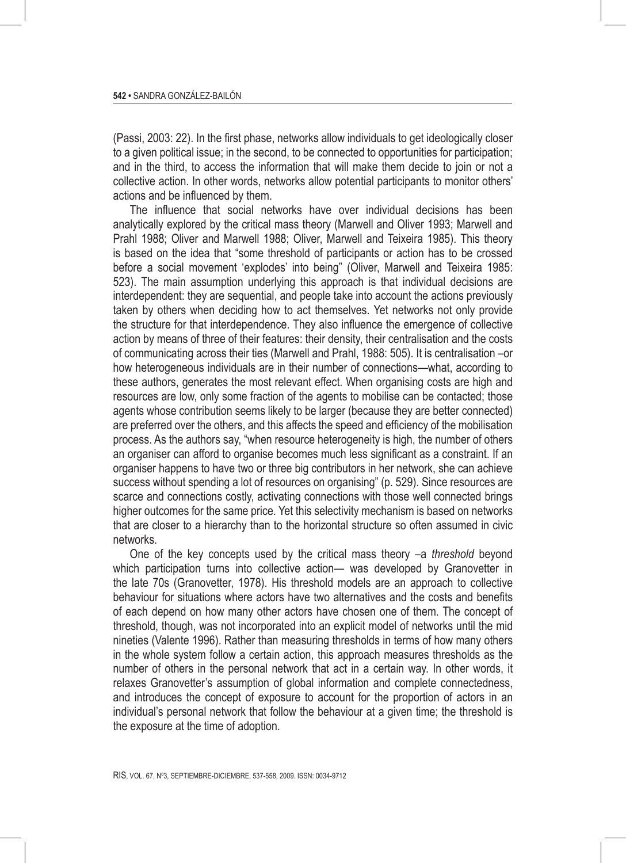(Passi, 2003: 22). In the first phase, networks allow individuals to get ideologically closer to a given political issue; in the second, to be connected to opportunities for participation; and in the third, to access the information that will make them decide to join or not a collective action. In other words, networks allow potential participants to monitor others' actions and be influenced by them.

The influence that social networks have over individual decisions has been analytically explored by the critical mass theory (Marwell and Oliver 1993; Marwell and Prahl 1988; Oliver and Marwell 1988; Oliver, Marwell and Teixeira 1985). This theory is based on the idea that "some threshold of participants or action has to be crossed before a social movement 'explodes' into being" (Oliver, Marwell and Teixeira 1985: 523). The main assumption underlying this approach is that individual decisions are interdependent: they are sequential, and people take into account the actions previously taken by others when deciding how to act themselves. Yet networks not only provide the structure for that interdependence. They also influence the emergence of collective action by means of three of their features: their density, their centralisation and the costs of communicating across their ties (Marwell and Prahl, 1988: 505). It is centralisation –or how heterogeneous individuals are in their number of connections—what, according to these authors, generates the most relevant effect. When organising costs are high and resources are low, only some fraction of the agents to mobilise can be contacted; those agents whose contribution seems likely to be larger (because they are better connected) are preferred over the others, and this affects the speed and efficiency of the mobilisation process. As the authors say, "when resource heterogeneity is high, the number of others an organiser can afford to organise becomes much less significant as a constraint. If an organiser happens to have two or three big contributors in her network, she can achieve success without spending a lot of resources on organising" (p. 529). Since resources are scarce and connections costly, activating connections with those well connected brings higher outcomes for the same price. Yet this selectivity mechanism is based on networks that are closer to a hierarchy than to the horizontal structure so often assumed in civic networks.

One of the key concepts used by the critical mass theory –a *threshold* beyond which participation turns into collective action— was developed by Granovetter in the late 70s (Granovetter, 1978). His threshold models are an approach to collective behaviour for situations where actors have two alternatives and the costs and benefits of each depend on how many other actors have chosen one of them. The concept of threshold, though, was not incorporated into an explicit model of networks until the mid nineties (Valente 1996). Rather than measuring thresholds in terms of how many others in the whole system follow a certain action, this approach measures thresholds as the number of others in the personal network that act in a certain way. In other words, it relaxes Granovetter's assumption of global information and complete connectedness, and introduces the concept of exposure to account for the proportion of actors in an individual's personal network that follow the behaviour at a given time; the threshold is the exposure at the time of adoption.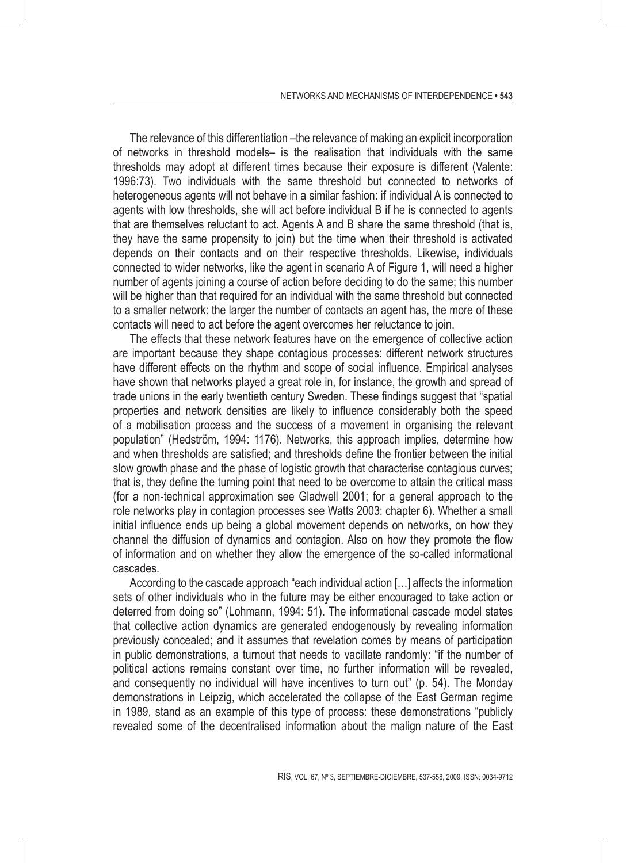The relevance of this differentiation –the relevance of making an explicit incorporation of networks in threshold models– is the realisation that individuals with the same thresholds may adopt at different times because their exposure is different (Valente: 1996:73). Two individuals with the same threshold but connected to networks of heterogeneous agents will not behave in a similar fashion: if individual A is connected to agents with low thresholds, she will act before individual B if he is connected to agents that are themselves reluctant to act. Agents A and B share the same threshold (that is, they have the same propensity to join) but the time when their threshold is activated depends on their contacts and on their respective thresholds. Likewise, individuals connected to wider networks, like the agent in scenario A of Figure 1, will need a higher number of agents joining a course of action before deciding to do the same; this number will be higher than that required for an individual with the same threshold but connected to a smaller network: the larger the number of contacts an agent has, the more of these contacts will need to act before the agent overcomes her reluctance to join.

The effects that these network features have on the emergence of collective action are important because they shape contagious processes: different network structures have different effects on the rhythm and scope of social influence. Empirical analyses have shown that networks played a great role in, for instance, the growth and spread of trade unions in the early twentieth century Sweden. These findings suggest that "spatial properties and network densities are likely to influence considerably both the speed of a mobilisation process and the success of a movement in organising the relevant population" (Hedström, 1994: 1176). Networks, this approach implies, determine how and when thresholds are satisfied; and thresholds define the frontier between the initial slow growth phase and the phase of logistic growth that characterise contagious curves; that is, they define the turning point that need to be overcome to attain the critical mass (for a non-technical approximation see Gladwell 2001; for a general approach to the role networks play in contagion processes see Watts 2003: chapter 6). Whether a small initial influence ends up being a global movement depends on networks, on how they channel the diffusion of dynamics and contagion. Also on how they promote the flow of information and on whether they allow the emergence of the so-called informational cascades.

According to the cascade approach "each individual action […] affects the information sets of other individuals who in the future may be either encouraged to take action or deterred from doing so" (Lohmann, 1994: 51). The informational cascade model states that collective action dynamics are generated endogenously by revealing information previously concealed; and it assumes that revelation comes by means of participation in public demonstrations, a turnout that needs to vacillate randomly: "if the number of political actions remains constant over time, no further information will be revealed, and consequently no individual will have incentives to turn out" (p. 54). The Monday demonstrations in Leipzig, which accelerated the collapse of the East German regime in 1989, stand as an example of this type of process: these demonstrations "publicly revealed some of the decentralised information about the malign nature of the East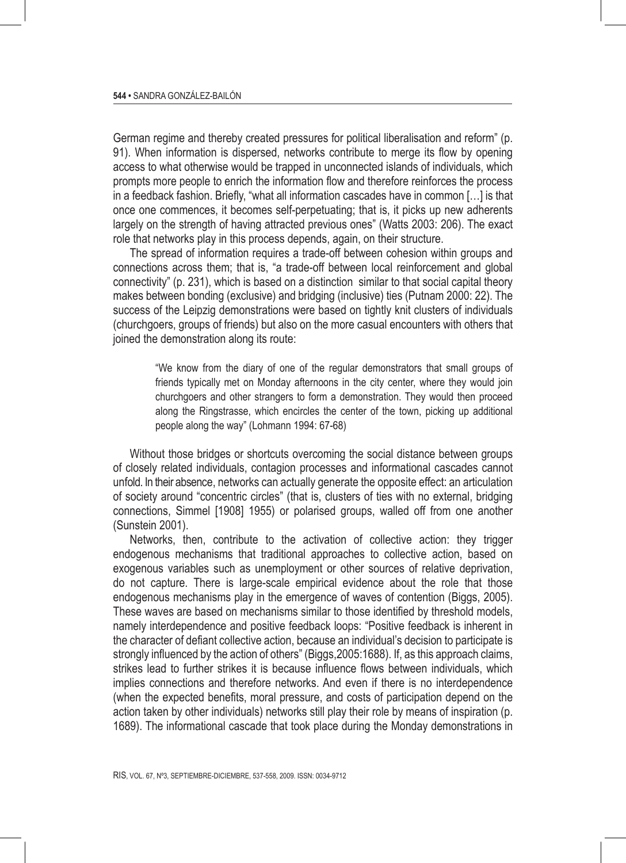German regime and thereby created pressures for political liberalisation and reform" (p. 91). When information is dispersed, networks contribute to merge its flow by opening access to what otherwise would be trapped in unconnected islands of individuals, which prompts more people to enrich the information flow and therefore reinforces the process in a feedback fashion. Briefly, "what all information cascades have in common […] is that once one commences, it becomes self-perpetuating; that is, it picks up new adherents largely on the strength of having attracted previous ones" (Watts 2003: 206). The exact role that networks play in this process depends, again, on their structure.

The spread of information requires a trade-off between cohesion within groups and connections across them; that is, "a trade-off between local reinforcement and global connectivity" (p. 231), which is based on a distinction similar to that social capital theory makes between bonding (exclusive) and bridging (inclusive) ties (Putnam 2000: 22). The success of the Leipzig demonstrations were based on tightly knit clusters of individuals (churchgoers, groups of friends) but also on the more casual encounters with others that joined the demonstration along its route:

> "We know from the diary of one of the regular demonstrators that small groups of friends typically met on Monday afternoons in the city center, where they would join churchgoers and other strangers to form a demonstration. They would then proceed along the Ringstrasse, which encircles the center of the town, picking up additional people along the way" (Lohmann 1994: 67-68)

Without those bridges or shortcuts overcoming the social distance between groups of closely related individuals, contagion processes and informational cascades cannot unfold. In their absence, networks can actually generate the opposite effect: an articulation of society around "concentric circles" (that is, clusters of ties with no external, bridging connections, Simmel [1908] 1955) or polarised groups, walled off from one another (Sunstein 2001).

Networks, then, contribute to the activation of collective action: they trigger endogenous mechanisms that traditional approaches to collective action, based on exogenous variables such as unemployment or other sources of relative deprivation, do not capture. There is large-scale empirical evidence about the role that those endogenous mechanisms play in the emergence of waves of contention (Biggs, 2005). These waves are based on mechanisms similar to those identified by threshold models, namely interdependence and positive feedback loops: "Positive feedback is inherent in the character of defiant collective action, because an individual's decision to participate is strongly influenced by the action of others" (Biggs,2005:1688). If, as this approach claims, strikes lead to further strikes it is because influence flows between individuals, which implies connections and therefore networks. And even if there is no interdependence (when the expected benefits, moral pressure, and costs of participation depend on the action taken by other individuals) networks still play their role by means of inspiration (p. 1689). The informational cascade that took place during the Monday demonstrations in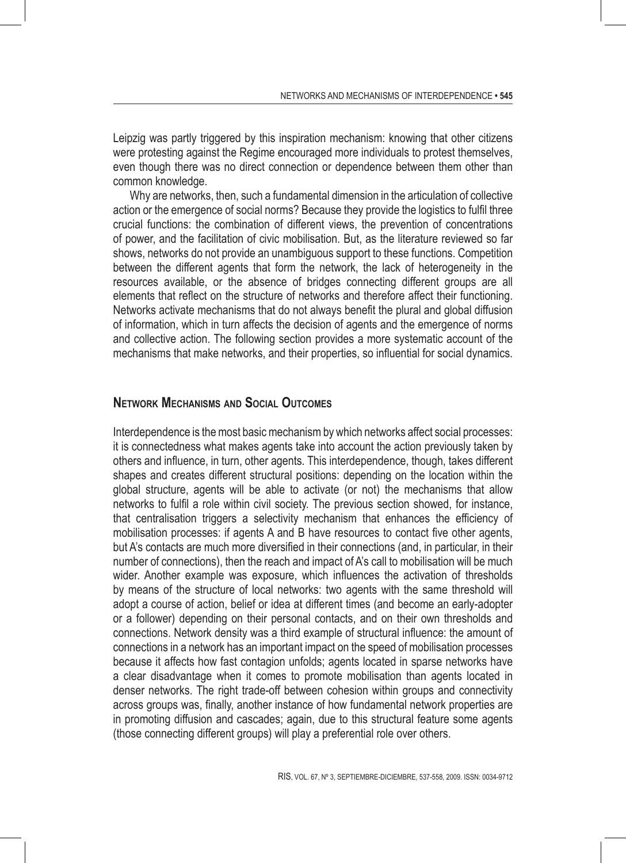Leipzig was partly triggered by this inspiration mechanism: knowing that other citizens were protesting against the Regime encouraged more individuals to protest themselves, even though there was no direct connection or dependence between them other than common knowledge.

Why are networks, then, such a fundamental dimension in the articulation of collective action or the emergence of social norms? Because they provide the logistics to fulfil three crucial functions: the combination of different views, the prevention of concentrations of power, and the facilitation of civic mobilisation. But, as the literature reviewed so far shows, networks do not provide an unambiguous support to these functions. Competition between the different agents that form the network, the lack of heterogeneity in the resources available, or the absence of bridges connecting different groups are all elements that reflect on the structure of networks and therefore affect their functioning. Networks activate mechanisms that do not always benefit the plural and global diffusion of information, which in turn affects the decision of agents and the emergence of norms and collective action. The following section provides a more systematic account of the mechanisms that make networks, and their properties, so influential for social dynamics.

#### **Network Mechanisms and Social Outcomes**

Interdependence is the most basic mechanism by which networks affect social processes: it is connectedness what makes agents take into account the action previously taken by others and influence, in turn, other agents. This interdependence, though, takes different shapes and creates different structural positions: depending on the location within the global structure, agents will be able to activate (or not) the mechanisms that allow networks to fulfil a role within civil society. The previous section showed, for instance, that centralisation triggers a selectivity mechanism that enhances the efficiency of mobilisation processes: if agents A and B have resources to contact five other agents, but A's contacts are much more diversified in their connections (and, in particular, in their number of connections), then the reach and impact of A's call to mobilisation will be much wider. Another example was exposure, which influences the activation of thresholds by means of the structure of local networks: two agents with the same threshold will adopt a course of action, belief or idea at different times (and become an early-adopter or a follower) depending on their personal contacts, and on their own thresholds and connections. Network density was a third example of structural influence: the amount of connections in a network has an important impact on the speed of mobilisation processes because it affects how fast contagion unfolds; agents located in sparse networks have a clear disadvantage when it comes to promote mobilisation than agents located in denser networks. The right trade-off between cohesion within groups and connectivity across groups was, finally, another instance of how fundamental network properties are in promoting diffusion and cascades; again, due to this structural feature some agents (those connecting different groups) will play a preferential role over others.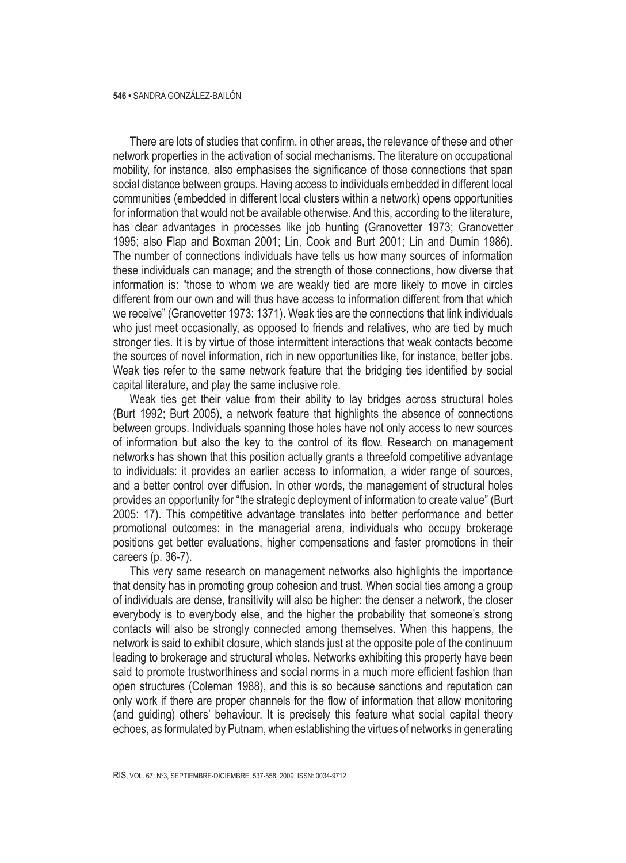There are lots of studies that confirm, in other areas, the relevance of these and other network properties in the activation of social mechanisms. The literature on occupational mobility, for instance, also emphasises the significance of those connections that span social distance between groups. Having access to individuals embedded in different local communities (embedded in different local clusters within a network) opens opportunities for information that would not be available otherwise. And this, according to the literature, has clear advantages in processes like job hunting (Granovetter 1973; Granovetter 1995; also Flap and Boxman 2001; Lin, Cook and Burt 2001; Lin and Dumin 1986). The number of connections individuals have tells us how many sources of information these individuals can manage; and the strength of those connections, how diverse that information is: "those to whom we are weakly tied are more likely to move in circles different from our own and will thus have access to information different from that which we receive" (Granovetter 1973: 1371). Weak ties are the connections that link individuals who just meet occasionally, as opposed to friends and relatives, who are tied by much stronger ties. It is by virtue of those intermittent interactions that weak contacts become the sources of novel information, rich in new opportunities like, for instance, better jobs. Weak ties refer to the same network feature that the bridging ties identified by social capital literature, and play the same inclusive role.

Weak ties get their value from their ability to lay bridges across structural holes (Burt 1992; Burt 2005), a network feature that highlights the absence of connections between groups. Individuals spanning those holes have not only access to new sources of information but also the key to the control of its flow. Research on management networks has shown that this position actually grants a threefold competitive advantage to individuals: it provides an earlier access to information, a wider range of sources, and a better control over diffusion. In other words, the management of structural holes provides an opportunity for "the strategic deployment of information to create value" (Burt 2005: 17). This competitive advantage translates into better performance and better promotional outcomes: in the managerial arena, individuals who occupy brokerage positions get better evaluations, higher compensations and faster promotions in their careers (p. 36-7).

This very same research on management networks also highlights the importance that density has in promoting group cohesion and trust. When social ties among a group of individuals are dense, transitivity will also be higher: the denser a network, the closer everybody is to everybody else, and the higher the probability that someone's strong contacts will also be strongly connected among themselves. When this happens, the network is said to exhibit closure, which stands just at the opposite pole of the continuum leading to brokerage and structural wholes. Networks exhibiting this property have been said to promote trustworthiness and social norms in a much more efficient fashion than open structures (Coleman 1988), and this is so because sanctions and reputation can only work if there are proper channels for the flow of information that allow monitoring (and guiding) others' behaviour. It is precisely this feature what social capital theory echoes, as formulated by Putnam, when establishing the virtues of networks in generating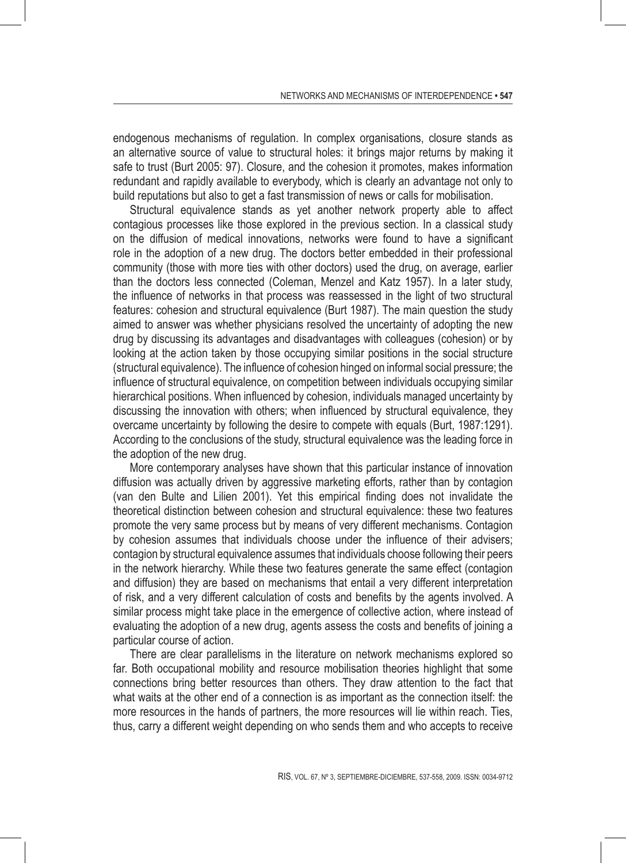endogenous mechanisms of regulation. In complex organisations, closure stands as an alternative source of value to structural holes: it brings major returns by making it safe to trust (Burt 2005: 97). Closure, and the cohesion it promotes, makes information redundant and rapidly available to everybody, which is clearly an advantage not only to build reputations but also to get a fast transmission of news or calls for mobilisation.

Structural equivalence stands as yet another network property able to affect contagious processes like those explored in the previous section. In a classical study on the diffusion of medical innovations, networks were found to have a significant role in the adoption of a new drug. The doctors better embedded in their professional community (those with more ties with other doctors) used the drug, on average, earlier than the doctors less connected (Coleman, Menzel and Katz 1957). In a later study, the influence of networks in that process was reassessed in the light of two structural features: cohesion and structural equivalence (Burt 1987). The main question the study aimed to answer was whether physicians resolved the uncertainty of adopting the new drug by discussing its advantages and disadvantages with colleagues (cohesion) or by looking at the action taken by those occupying similar positions in the social structure (structural equivalence). The influence of cohesion hinged on informal social pressure; the influence of structural equivalence, on competition between individuals occupying similar hierarchical positions. When influenced by cohesion, individuals managed uncertainty by discussing the innovation with others; when influenced by structural equivalence, they overcame uncertainty by following the desire to compete with equals (Burt, 1987:1291). According to the conclusions of the study, structural equivalence was the leading force in the adoption of the new drug.

More contemporary analyses have shown that this particular instance of innovation diffusion was actually driven by aggressive marketing efforts, rather than by contagion (van den Bulte and Lilien 2001). Yet this empirical finding does not invalidate the theoretical distinction between cohesion and structural equivalence: these two features promote the very same process but by means of very different mechanisms. Contagion by cohesion assumes that individuals choose under the influence of their advisers; contagion by structural equivalence assumes that individuals choose following their peers in the network hierarchy. While these two features generate the same effect (contagion and diffusion) they are based on mechanisms that entail a very different interpretation of risk, and a very different calculation of costs and benefits by the agents involved. A similar process might take place in the emergence of collective action, where instead of evaluating the adoption of a new drug, agents assess the costs and benefits of joining a particular course of action.

There are clear parallelisms in the literature on network mechanisms explored so far. Both occupational mobility and resource mobilisation theories highlight that some connections bring better resources than others. They draw attention to the fact that what waits at the other end of a connection is as important as the connection itself: the more resources in the hands of partners, the more resources will lie within reach. Ties, thus, carry a different weight depending on who sends them and who accepts to receive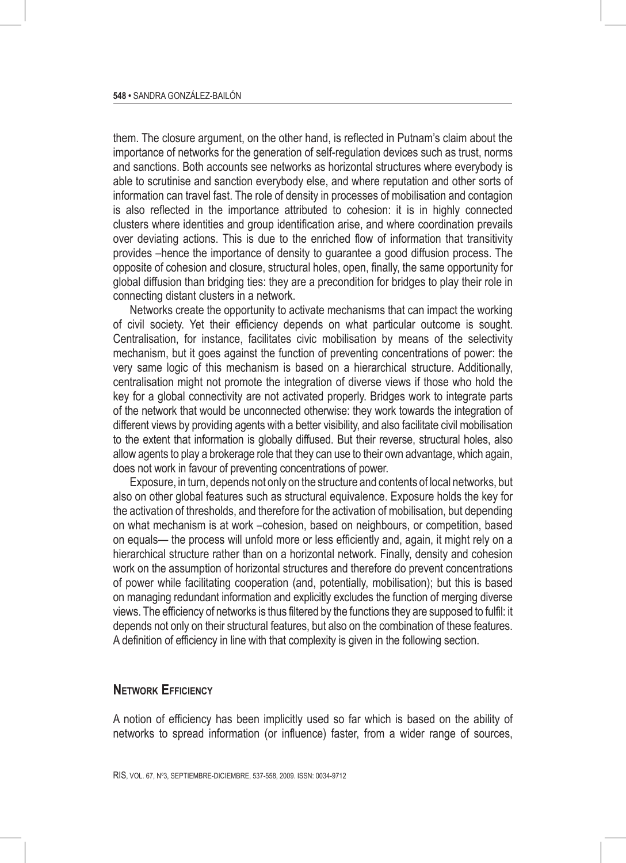them. The closure argument, on the other hand, is reflected in Putnam's claim about the importance of networks for the generation of self-regulation devices such as trust, norms and sanctions. Both accounts see networks as horizontal structures where everybody is able to scrutinise and sanction everybody else, and where reputation and other sorts of information can travel fast. The role of density in processes of mobilisation and contagion is also reflected in the importance attributed to cohesion: it is in highly connected clusters where identities and group identification arise, and where coordination prevails over deviating actions. This is due to the enriched flow of information that transitivity provides –hence the importance of density to guarantee a good diffusion process. The opposite of cohesion and closure, structural holes, open, finally, the same opportunity for global diffusion than bridging ties: they are a precondition for bridges to play their role in connecting distant clusters in a network.

Networks create the opportunity to activate mechanisms that can impact the working of civil society. Yet their efficiency depends on what particular outcome is sought. Centralisation, for instance, facilitates civic mobilisation by means of the selectivity mechanism, but it goes against the function of preventing concentrations of power: the very same logic of this mechanism is based on a hierarchical structure. Additionally, centralisation might not promote the integration of diverse views if those who hold the key for a global connectivity are not activated properly. Bridges work to integrate parts of the network that would be unconnected otherwise: they work towards the integration of different views by providing agents with a better visibility, and also facilitate civil mobilisation to the extent that information is globally diffused. But their reverse, structural holes, also allow agents to play a brokerage role that they can use to their own advantage, which again, does not work in favour of preventing concentrations of power.

Exposure, in turn, depends not only on the structure and contents of local networks, but also on other global features such as structural equivalence. Exposure holds the key for the activation of thresholds, and therefore for the activation of mobilisation, but depending on what mechanism is at work –cohesion, based on neighbours, or competition, based on equals— the process will unfold more or less efficiently and, again, it might rely on a hierarchical structure rather than on a horizontal network. Finally, density and cohesion work on the assumption of horizontal structures and therefore do prevent concentrations of power while facilitating cooperation (and, potentially, mobilisation); but this is based on managing redundant information and explicitly excludes the function of merging diverse views. The efficiency of networks is thus filtered by the functions they are supposed to fulfil: it depends not only on their structural features, but also on the combination of these features. A definition of efficiency in line with that complexity is given in the following section.

#### **Network Efficiency**

A notion of efficiency has been implicitly used so far which is based on the ability of networks to spread information (or influence) faster, from a wider range of sources,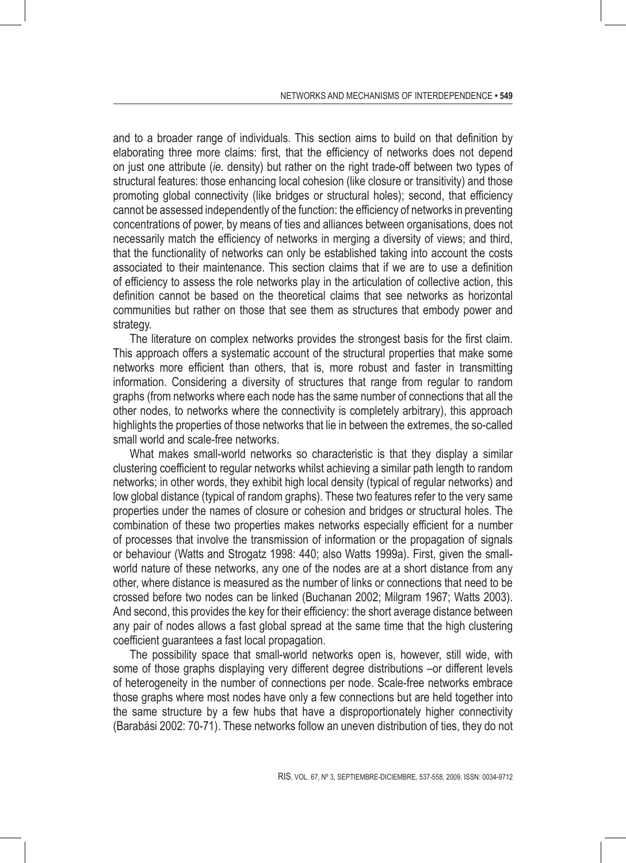and to a broader range of individuals. This section aims to build on that definition by elaborating three more claims: first, that the efficiency of networks does not depend on just one attribute (*ie.* density) but rather on the right trade-off between two types of structural features: those enhancing local cohesion (like closure or transitivity) and those promoting global connectivity (like bridges or structural holes); second, that efficiency cannot be assessed independently of the function: the efficiency of networks in preventing concentrations of power, by means of ties and alliances between organisations, does not necessarily match the efficiency of networks in merging a diversity of views; and third, that the functionality of networks can only be established taking into account the costs associated to their maintenance. This section claims that if we are to use a definition of efficiency to assess the role networks play in the articulation of collective action, this definition cannot be based on the theoretical claims that see networks as horizontal communities but rather on those that see them as structures that embody power and strategy.

The literature on complex networks provides the strongest basis for the first claim. This approach offers a systematic account of the structural properties that make some networks more efficient than others, that is, more robust and faster in transmitting information. Considering a diversity of structures that range from regular to random graphs (from networks where each node has the same number of connections that all the other nodes, to networks where the connectivity is completely arbitrary), this approach highlights the properties of those networks that lie in between the extremes, the so-called small world and scale-free networks.

What makes small-world networks so characteristic is that they display a similar clustering coefficient to regular networks whilst achieving a similar path length to random networks; in other words, they exhibit high local density (typical of regular networks) and low global distance (typical of random graphs). These two features refer to the very same properties under the names of closure or cohesion and bridges or structural holes. The combination of these two properties makes networks especially efficient for a number of processes that involve the transmission of information or the propagation of signals or behaviour (Watts and Strogatz 1998: 440; also Watts 1999a). First, given the smallworld nature of these networks, any one of the nodes are at a short distance from any other, where distance is measured as the number of links or connections that need to be crossed before two nodes can be linked (Buchanan 2002; Milgram 1967; Watts 2003). And second, this provides the key for their efficiency: the short average distance between any pair of nodes allows a fast global spread at the same time that the high clustering coefficient guarantees a fast local propagation.

The possibility space that small-world networks open is, however, still wide, with some of those graphs displaying very different degree distributions –or different levels of heterogeneity in the number of connections per node. Scale-free networks embrace those graphs where most nodes have only a few connections but are held together into the same structure by a few hubs that have a disproportionately higher connectivity (Barabási 2002: 70-71). These networks follow an uneven distribution of ties, they do not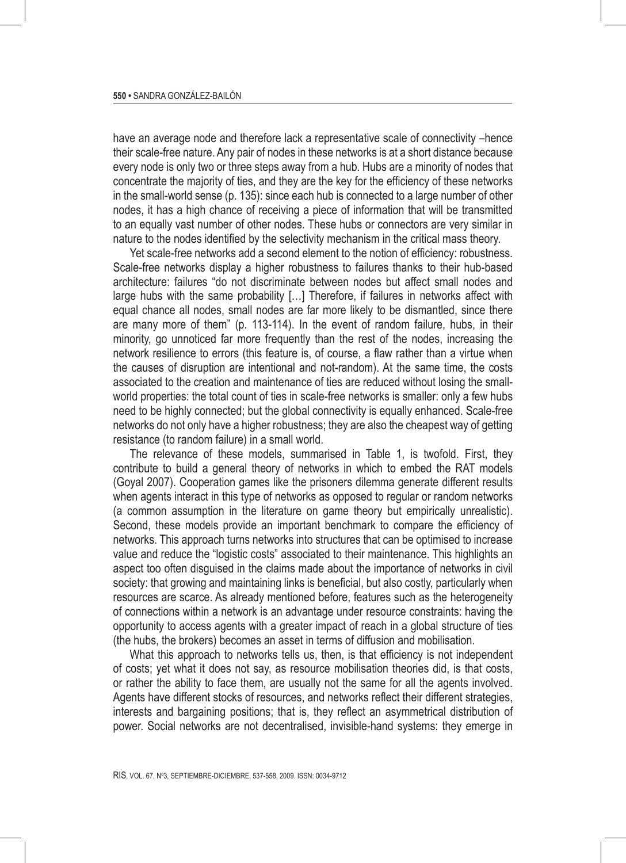have an average node and therefore lack a representative scale of connectivity –hence their scale-free nature. Any pair of nodes in these networks is at a short distance because every node is only two or three steps away from a hub. Hubs are a minority of nodes that concentrate the majority of ties, and they are the key for the efficiency of these networks in the small-world sense (p. 135): since each hub is connected to a large number of other nodes, it has a high chance of receiving a piece of information that will be transmitted to an equally vast number of other nodes. These hubs or connectors are very similar in nature to the nodes identified by the selectivity mechanism in the critical mass theory.

Yet scale-free networks add a second element to the notion of efficiency: robustness. Scale-free networks display a higher robustness to failures thanks to their hub-based architecture: failures "do not discriminate between nodes but affect small nodes and large hubs with the same probability […] Therefore, if failures in networks affect with equal chance all nodes, small nodes are far more likely to be dismantled, since there are many more of them" (p. 113-114). In the event of random failure, hubs, in their minority, go unnoticed far more frequently than the rest of the nodes, increasing the network resilience to errors (this feature is, of course, a flaw rather than a virtue when the causes of disruption are intentional and not-random). At the same time, the costs associated to the creation and maintenance of ties are reduced without losing the smallworld properties: the total count of ties in scale-free networks is smaller: only a few hubs need to be highly connected; but the global connectivity is equally enhanced. Scale-free networks do not only have a higher robustness; they are also the cheapest way of getting resistance (to random failure) in a small world.

The relevance of these models, summarised in Table 1, is twofold. First, they contribute to build a general theory of networks in which to embed the RAT models (Goyal 2007). Cooperation games like the prisoners dilemma generate different results when agents interact in this type of networks as opposed to regular or random networks (a common assumption in the literature on game theory but empirically unrealistic). Second, these models provide an important benchmark to compare the efficiency of networks. This approach turns networks into structures that can be optimised to increase value and reduce the "logistic costs" associated to their maintenance. This highlights an aspect too often disguised in the claims made about the importance of networks in civil society: that growing and maintaining links is beneficial, but also costly, particularly when resources are scarce. As already mentioned before, features such as the heterogeneity of connections within a network is an advantage under resource constraints: having the opportunity to access agents with a greater impact of reach in a global structure of ties (the hubs, the brokers) becomes an asset in terms of diffusion and mobilisation.

What this approach to networks tells us, then, is that efficiency is not independent of costs; yet what it does not say, as resource mobilisation theories did, is that costs, or rather the ability to face them, are usually not the same for all the agents involved. Agents have different stocks of resources, and networks reflect their different strategies, interests and bargaining positions; that is, they reflect an asymmetrical distribution of power. Social networks are not decentralised, invisible-hand systems: they emerge in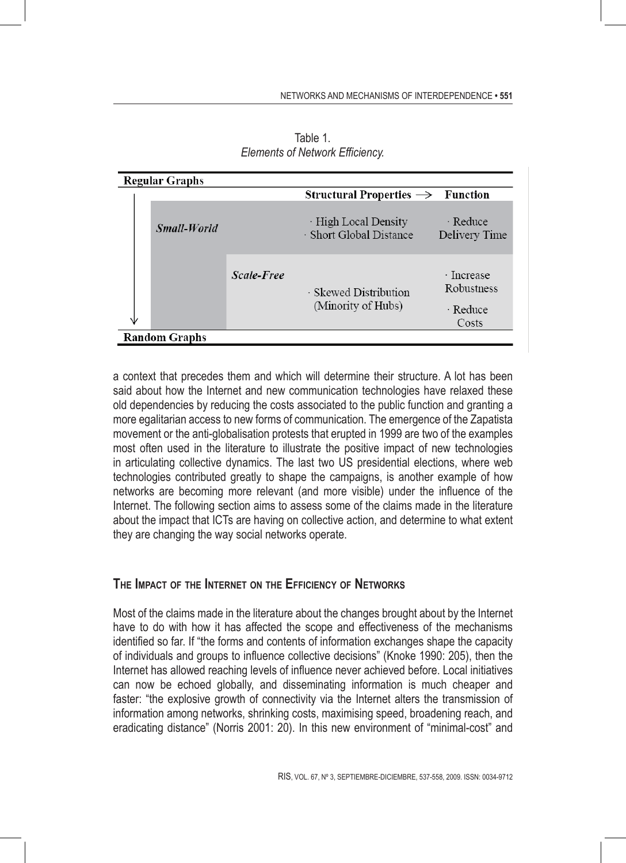| <b>Regular Graphs</b> |             |            |                                                 |                                               |
|-----------------------|-------------|------------|-------------------------------------------------|-----------------------------------------------|
|                       |             |            | Structural Properties $\rightarrow$ Function    |                                               |
|                       | Small-World |            | · High Local Density<br>· Short Global Distance | $\cdot$ Reduce<br>Delivery Time               |
|                       |             | Scale-Free | · Skewed Distribution<br>(Minority of Hubs)     | · Increase<br>Robustness<br>· Reduce<br>Costs |
| <b>Random Graphs</b>  |             |            |                                                 |                                               |

Table 1. *Elements of Network Efficiency.*

a context that precedes them and which will determine their structure. A lot has been said about how the Internet and new communication technologies have relaxed these old dependencies by reducing the costs associated to the public function and granting a more egalitarian access to new forms of communication. The emergence of the Zapatista movement or the anti-globalisation protests that erupted in 1999 are two of the examples most often used in the literature to illustrate the positive impact of new technologies in articulating collective dynamics. The last two US presidential elections, where web technologies contributed greatly to shape the campaigns, is another example of how networks are becoming more relevant (and more visible) under the influence of the Internet. The following section aims to assess some of the claims made in the literature about the impact that ICTs are having on collective action, and determine to what extent they are changing the way social networks operate.

#### **The Impact of the Internet on the Efficiency of Networks**

Most of the claims made in the literature about the changes brought about by the Internet have to do with how it has affected the scope and effectiveness of the mechanisms identified so far. If "the forms and contents of information exchanges shape the capacity of individuals and groups to influence collective decisions" (Knoke 1990: 205), then the Internet has allowed reaching levels of influence never achieved before. Local initiatives can now be echoed globally, and disseminating information is much cheaper and faster: "the explosive growth of connectivity via the Internet alters the transmission of information among networks, shrinking costs, maximising speed, broadening reach, and eradicating distance" (Norris 2001: 20). In this new environment of "minimal-cost" and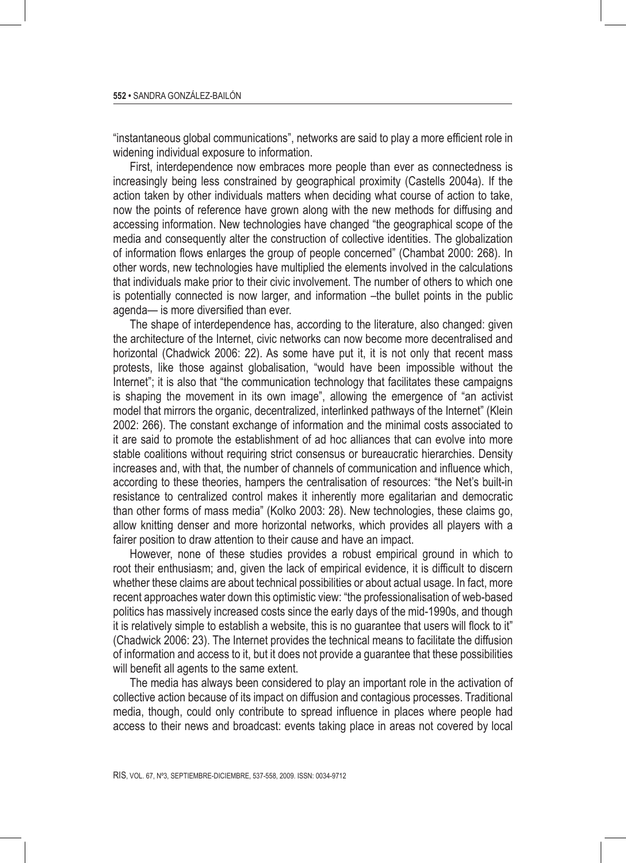"instantaneous global communications", networks are said to play a more efficient role in widening individual exposure to information.

First, interdependence now embraces more people than ever as connectedness is increasingly being less constrained by geographical proximity (Castells 2004a). If the action taken by other individuals matters when deciding what course of action to take, now the points of reference have grown along with the new methods for diffusing and accessing information. New technologies have changed "the geographical scope of the media and consequently alter the construction of collective identities. The globalization of information flows enlarges the group of people concerned" (Chambat 2000: 268). In other words, new technologies have multiplied the elements involved in the calculations that individuals make prior to their civic involvement. The number of others to which one is potentially connected is now larger, and information –the bullet points in the public agenda— is more diversified than ever.

The shape of interdependence has, according to the literature, also changed: given the architecture of the Internet, civic networks can now become more decentralised and horizontal (Chadwick 2006: 22). As some have put it, it is not only that recent mass protests, like those against globalisation, "would have been impossible without the Internet"; it is also that "the communication technology that facilitates these campaigns is shaping the movement in its own image", allowing the emergence of "an activist model that mirrors the organic, decentralized, interlinked pathways of the Internet" (Klein 2002: 266). The constant exchange of information and the minimal costs associated to it are said to promote the establishment of ad hoc alliances that can evolve into more stable coalitions without requiring strict consensus or bureaucratic hierarchies. Density increases and, with that, the number of channels of communication and influence which, according to these theories, hampers the centralisation of resources: "the Net's built-in resistance to centralized control makes it inherently more egalitarian and democratic than other forms of mass media" (Kolko 2003: 28). New technologies, these claims go, allow knitting denser and more horizontal networks, which provides all players with a fairer position to draw attention to their cause and have an impact.

However, none of these studies provides a robust empirical ground in which to root their enthusiasm; and, given the lack of empirical evidence, it is difficult to discern whether these claims are about technical possibilities or about actual usage. In fact, more recent approaches water down this optimistic view: "the professionalisation of web-based politics has massively increased costs since the early days of the mid-1990s, and though it is relatively simple to establish a website, this is no guarantee that users will flock to it" (Chadwick 2006: 23). The Internet provides the technical means to facilitate the diffusion of information and access to it, but it does not provide a guarantee that these possibilities will benefit all agents to the same extent.

The media has always been considered to play an important role in the activation of collective action because of its impact on diffusion and contagious processes. Traditional media, though, could only contribute to spread influence in places where people had access to their news and broadcast: events taking place in areas not covered by local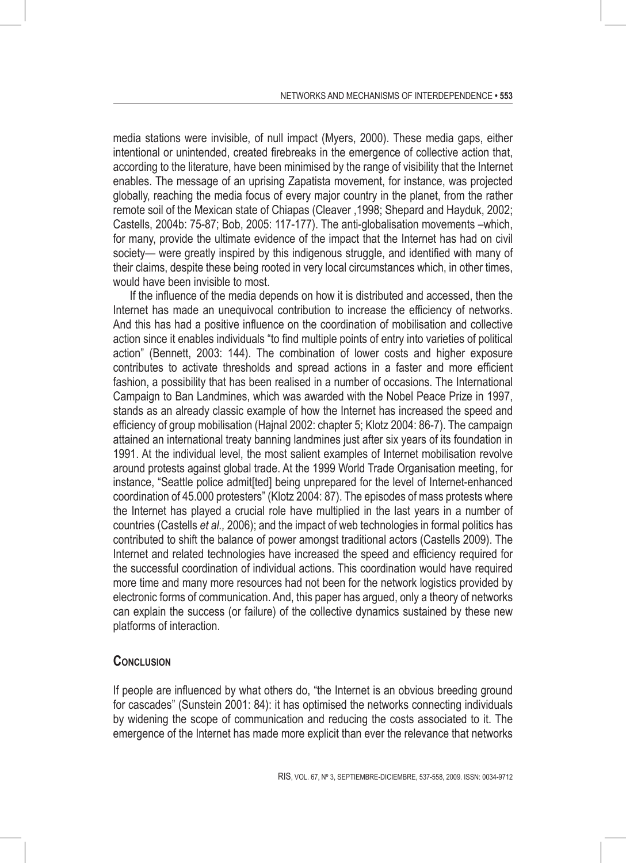media stations were invisible, of null impact (Myers, 2000). These media gaps, either intentional or unintended, created firebreaks in the emergence of collective action that, according to the literature, have been minimised by the range of visibility that the Internet enables. The message of an uprising Zapatista movement, for instance, was projected globally, reaching the media focus of every major country in the planet, from the rather remote soil of the Mexican state of Chiapas (Cleaver ,1998; Shepard and Hayduk, 2002; Castells, 2004b: 75-87; Bob, 2005: 117-177). The anti-globalisation movements –which, for many, provide the ultimate evidence of the impact that the Internet has had on civil society— were greatly inspired by this indigenous struggle, and identified with many of their claims, despite these being rooted in very local circumstances which, in other times, would have been invisible to most.

If the influence of the media depends on how it is distributed and accessed, then the Internet has made an unequivocal contribution to increase the efficiency of networks. And this has had a positive influence on the coordination of mobilisation and collective action since it enables individuals "to find multiple points of entry into varieties of political action" (Bennett, 2003: 144). The combination of lower costs and higher exposure contributes to activate thresholds and spread actions in a faster and more efficient fashion, a possibility that has been realised in a number of occasions. The International Campaign to Ban Landmines, which was awarded with the Nobel Peace Prize in 1997, stands as an already classic example of how the Internet has increased the speed and efficiency of group mobilisation (Hajnal 2002: chapter 5; Klotz 2004: 86-7). The campaign attained an international treaty banning landmines just after six years of its foundation in 1991. At the individual level, the most salient examples of Internet mobilisation revolve around protests against global trade. At the 1999 World Trade Organisation meeting, for instance, "Seattle police admit[ted] being unprepared for the level of Internet-enhanced coordination of 45.000 protesters" (Klotz 2004: 87). The episodes of mass protests where the Internet has played a crucial role have multiplied in the last years in a number of countries (Castells *et al.,* 2006); and the impact of web technologies in formal politics has contributed to shift the balance of power amongst traditional actors (Castells 2009). The Internet and related technologies have increased the speed and efficiency required for the successful coordination of individual actions. This coordination would have required more time and many more resources had not been for the network logistics provided by electronic forms of communication. And, this paper has argued, only a theory of networks can explain the success (or failure) of the collective dynamics sustained by these new platforms of interaction.

#### **Conclusion**

If people are influenced by what others do, "the Internet is an obvious breeding ground for cascades" (Sunstein 2001: 84): it has optimised the networks connecting individuals by widening the scope of communication and reducing the costs associated to it. The emergence of the Internet has made more explicit than ever the relevance that networks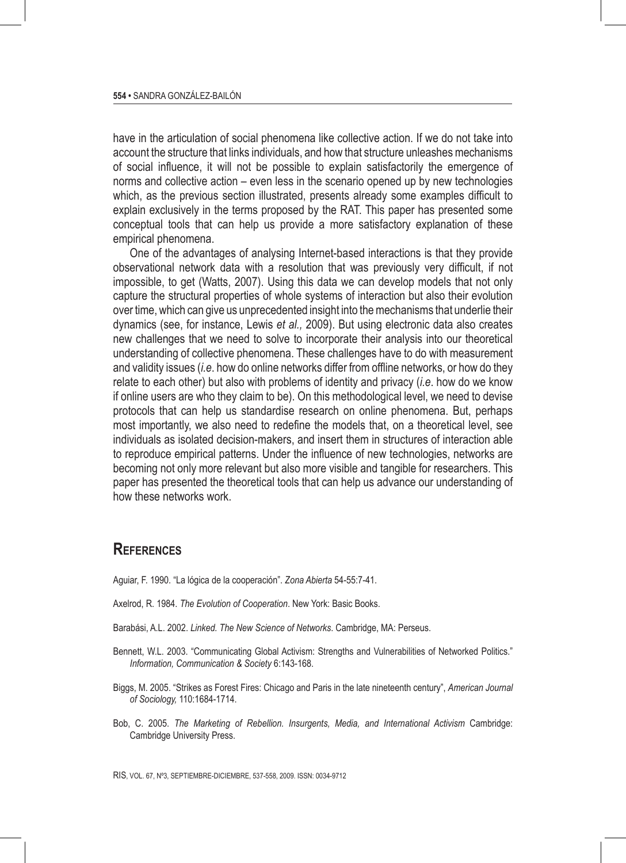have in the articulation of social phenomena like collective action. If we do not take into account the structure that links individuals, and how that structure unleashes mechanisms of social influence, it will not be possible to explain satisfactorily the emergence of norms and collective action – even less in the scenario opened up by new technologies which, as the previous section illustrated, presents already some examples difficult to explain exclusively in the terms proposed by the RAT. This paper has presented some conceptual tools that can help us provide a more satisfactory explanation of these empirical phenomena.

One of the advantages of analysing Internet-based interactions is that they provide observational network data with a resolution that was previously very difficult, if not impossible, to get (Watts, 2007). Using this data we can develop models that not only capture the structural properties of whole systems of interaction but also their evolution over time, which can give us unprecedented insight into the mechanisms that underlie their dynamics (see, for instance, Lewis *et al.,* 2009). But using electronic data also creates new challenges that we need to solve to incorporate their analysis into our theoretical understanding of collective phenomena. These challenges have to do with measurement and validity issues (*i.e*. how do online networks differ from offline networks, or how do they relate to each other) but also with problems of identity and privacy (*i.e*. how do we know if online users are who they claim to be). On this methodological level, we need to devise protocols that can help us standardise research on online phenomena. But, perhaps most importantly, we also need to redefine the models that, on a theoretical level, see individuals as isolated decision-makers, and insert them in structures of interaction able to reproduce empirical patterns. Under the influence of new technologies, networks are becoming not only more relevant but also more visible and tangible for researchers. This paper has presented the theoretical tools that can help us advance our understanding of how these networks work.

# **References**

- Aguiar, F. 1990. "La lógica de la cooperación". *Zona Abierta* 54-55:7-41.
- Axelrod, R. 1984. *The Evolution of Cooperation*. New York: Basic Books.
- Barabási, A.L. 2002. *Linked. The New Science of Networks*. Cambridge, MA: Perseus.
- Bennett, W.L. 2003. "Communicating Global Activism: Strengths and Vulnerabilities of Networked Politics." *Information, Communication & Society* 6:143-168.
- Biggs, M. 2005. "Strikes as Forest Fires: Chicago and Paris in the late nineteenth century", *American Journal of Sociology,* 110:1684-1714.
- Bob, C. 2005. *The Marketing of Rebellion. Insurgents, Media, and International Activism Cambridge:* Cambridge University Press.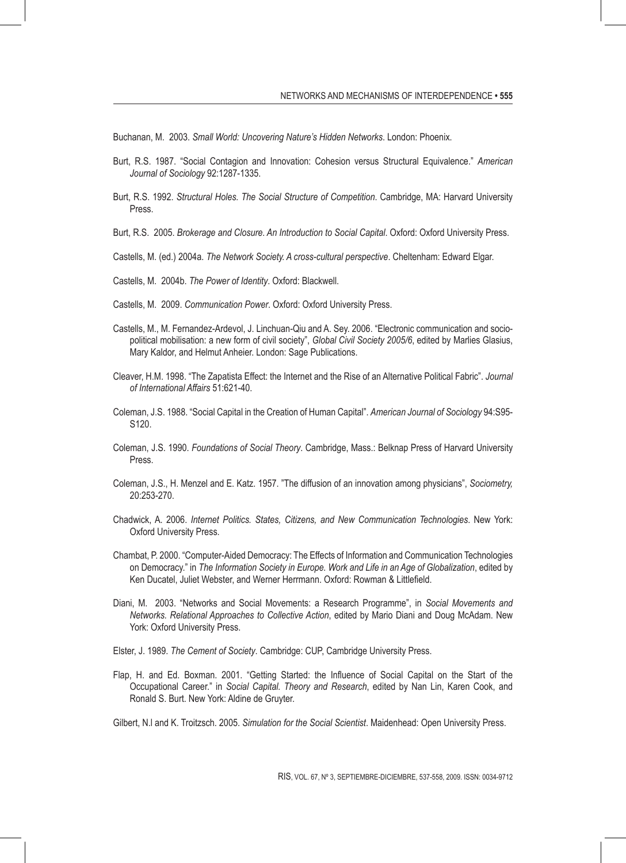Buchanan, M. 2003. *Small World: Uncovering Nature's Hidden Networks*. London: Phoenix.

- Burt, R.S. 1987. "Social Contagion and Innovation: Cohesion versus Structural Equivalence." *American Journal of Sociology* 92:1287-1335.
- Burt, R.S. 1992. *Structural Holes. The Social Structure of Competition*. Cambridge, MA: Harvard University Press.
- Burt, R.S. 2005. *Brokerage and Closure. An Introduction to Social Capital*. Oxford: Oxford University Press.
- Castells, M. (ed.) 2004a. *The Network Society. A cross-cultural perspective*. Cheltenham: Edward Elgar.
- Castells, M. 2004b. *The Power of Identity*. Oxford: Blackwell.
- Castells, M. 2009. *Communication Power*. Oxford: Oxford University Press.
- Castells, M., M. Fernandez-Ardevol, J. Linchuan-Qiu and A. Sey. 2006. "Electronic communication and sociopolitical mobilisation: a new form of civil society", *Global Civil Society 2005/6*, edited by Marlies Glasius, Mary Kaldor, and Helmut Anheier. London: Sage Publications.
- Cleaver, H.M. 1998. "The Zapatista Effect: the Internet and the Rise of an Alternative Political Fabric". *Journal of International Affairs* 51:621-40.
- Coleman, J.S. 1988. "Social Capital in the Creation of Human Capital". *American Journal of Sociology* 94:S95- S120.
- Coleman, J.S. 1990. *Foundations of Social Theory*. Cambridge, Mass.: Belknap Press of Harvard University Press.
- Coleman, J.S., H. Menzel and E. Katz. 1957. "The diffusion of an innovation among physicians", *Sociometry,* 20:253-270.
- Chadwick, A. 2006. *Internet Politics. States, Citizens, and New Communication Technologies*. New York: Oxford University Press.
- Chambat, P. 2000. "Computer-Aided Democracy: The Effects of Information and Communication Technologies on Democracy." in *The Information Society in Europe. Work and Life in an Age of Globalization*, edited by Ken Ducatel, Juliet Webster, and Werner Herrmann. Oxford: Rowman & Littlefield.
- Diani, M. 2003. "Networks and Social Movements: a Research Programme", in *Social Movements and Networks. Relational Approaches to Collective Action*, edited by Mario Diani and Doug McAdam. New York: Oxford University Press.
- Elster, J. 1989. *The Cement of Society*. Cambridge: CUP, Cambridge University Press.
- Flap, H. and Ed. Boxman. 2001. "Getting Started: the Influence of Social Capital on the Start of the Occupational Career." in *Social Capital. Theory and Research*, edited by Nan Lin, Karen Cook, and Ronald S. Burt. New York: Aldine de Gruyter.
- Gilbert, N.l and K. Troitzsch. 2005. *Simulation for the Social Scientist*. Maidenhead: Open University Press.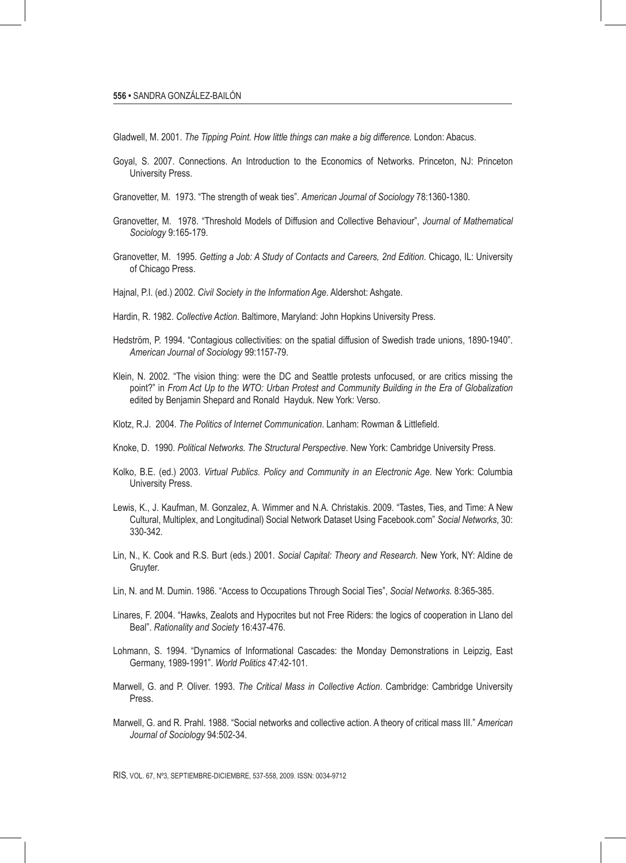Gladwell, M. 2001. *The Tipping Point. How little things can make a big difference.* London: Abacus.

- Goyal, S. 2007. Connections. An Introduction to the Economics of Networks. Princeton, NJ: Princeton University Press.
- Granovetter, M. 1973. "The strength of weak ties". *American Journal of Sociology* 78:1360-1380.
- Granovetter, M. 1978. "Threshold Models of Diffusion and Collective Behaviour", *Journal of Mathematical Sociology* 9:165-179.
- Granovetter, M. 1995. *Getting a Job: A Study of Contacts and Careers, 2nd Edition*. Chicago, IL: University of Chicago Press.
- Hajnal, P.I. (ed.) 2002. *Civil Society in the Information Age*. Aldershot: Ashgate.
- Hardin, R. 1982. *Collective Action*. Baltimore, Maryland: John Hopkins University Press.
- Hedström, P. 1994. "Contagious collectivities: on the spatial diffusion of Swedish trade unions, 1890-1940". *American Journal of Sociology* 99:1157-79.
- Klein, N. 2002. "The vision thing: were the DC and Seattle protests unfocused, or are critics missing the point?" in *From Act Up to the WTO: Urban Protest and Community Building in the Era of Globalization*  edited by Benjamin Shepard and Ronald Hayduk. New York: Verso.
- Klotz, R.J. 2004. *The Politics of Internet Communication*. Lanham: Rowman & Littlefield.
- Knoke, D. 1990. *Political Networks. The Structural Perspective*. New York: Cambridge University Press.
- Kolko, B.E. (ed.) 2003. *Virtual Publics. Policy and Community in an Electronic Age*. New York: Columbia University Press.
- Lewis, K., J. Kaufman, M. Gonzalez, A. Wimmer and N.A. Christakis. 2009. "Tastes, Ties, and Time: A New Cultural, Multiplex, and Longitudinal) Social Network Dataset Using Facebook.com" *Social Networks*, 30: 330-342.
- Lin, N., K. Cook and R.S. Burt (eds.) 2001. *Social Capital: Theory and Research*. New York, NY: Aldine de Gruyter.
- Lin, N. and M. Dumin. 1986. "Access to Occupations Through Social Ties", *Social Networks.* 8:365-385.
- Linares, F. 2004. "Hawks, Zealots and Hypocrites but not Free Riders: the logics of cooperation in Llano del Beal". *Rationality and Society* 16:437-476.
- Lohmann, S. 1994. "Dynamics of Informational Cascades: the Monday Demonstrations in Leipzig, East Germany, 1989-1991". *World Politics* 47:42-101.
- Marwell, G. and P. Oliver. 1993. *The Critical Mass in Collective Action*. Cambridge: Cambridge University Press.
- Marwell, G. and R. Prahl. 1988. "Social networks and collective action. A theory of critical mass III." *American Journal of Sociology* 94:502-34.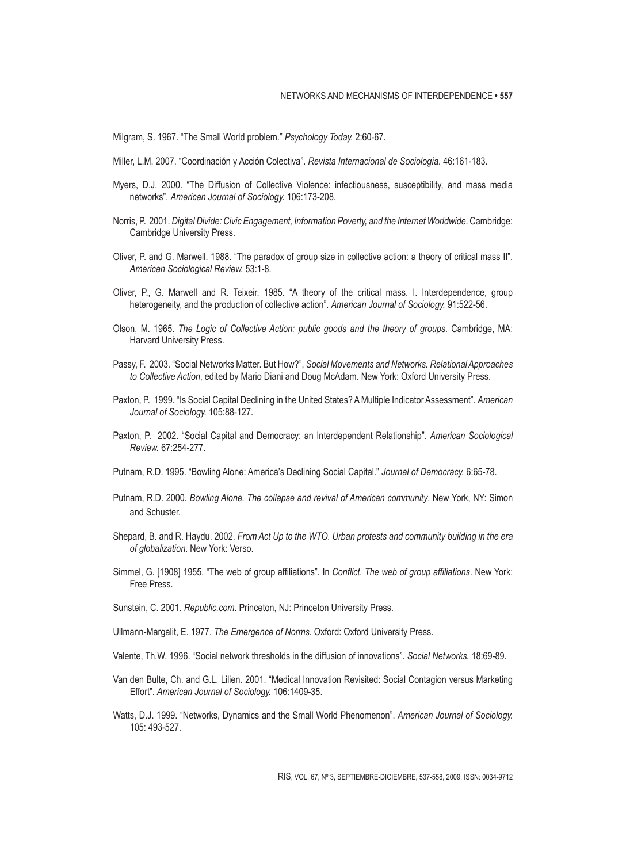Milgram, S. 1967. "The Small World problem." *Psychology Today.* 2:60-67.

- Miller, L.M. 2007. "Coordinación y Acción Colectiva". *Revista Internacional de Sociología.* 46:161-183.
- Myers, D.J. 2000. "The Diffusion of Collective Violence: infectiousness, susceptibility, and mass media networks". *American Journal of Sociology.* 106:173-208.
- Norris, P. 2001. *Digital Divide: Civic Engagement, Information Poverty, and the Internet Worldwide*. Cambridge: Cambridge University Press.
- Oliver, P. and G. Marwell. 1988. "The paradox of group size in collective action: a theory of critical mass II". *American Sociological Review.* 53:1-8.
- Oliver, P., G. Marwell and R. Teixeir. 1985. "A theory of the critical mass. I. Interdependence, group heterogeneity, and the production of collective action". *American Journal of Sociology.* 91:522-56.
- Olson, M. 1965. *The Logic of Collective Action: public goods and the theory of groups*. Cambridge, MA: Harvard University Press.
- Passy, F. 2003. "Social Networks Matter. But How?", *Social Movements and Networks. Relational Approaches to Collective Action*, edited by Mario Diani and Doug McAdam. New York: Oxford University Press.
- Paxton, P. 1999. "Is Social Capital Declining in the United States? A Multiple Indicator Assessment". *American Journal of Sociology.* 105:88-127.
- Paxton, P. 2002. "Social Capital and Democracy: an Interdependent Relationship". *American Sociological Review.* 67:254-277.
- Putnam, R.D. 1995. "Bowling Alone: America's Declining Social Capital." *Journal of Democracy.* 6:65-78.
- Putnam, R.D. 2000. *Bowling Alone. The collapse and revival of American community*. New York, NY: Simon and Schuster.
- Shepard, B. and R. Haydu. 2002. *From Act Up to the WTO. Urban protests and community building in the era of globalization*. New York: Verso.
- Simmel, G. [1908] 1955. "The web of group affiliations". In *Conflict. The web of group affiliations*. New York: Free Press.
- Sunstein, C. 2001. *Republic.com*. Princeton, NJ: Princeton University Press.
- Ullmann-Margalit, E. 1977. *The Emergence of Norms*. Oxford: Oxford University Press.
- Valente, Th.W. 1996. "Social network thresholds in the diffusion of innovations". *Social Networks.* 18:69-89.
- Van den Bulte, Ch. and G.L. Lilien. 2001. "Medical Innovation Revisited: Social Contagion versus Marketing Effort". *American Journal of Sociology.* 106:1409-35.
- Watts, D.J. 1999. "Networks, Dynamics and the Small World Phenomenon". *American Journal of Sociology.* 105: 493-527.